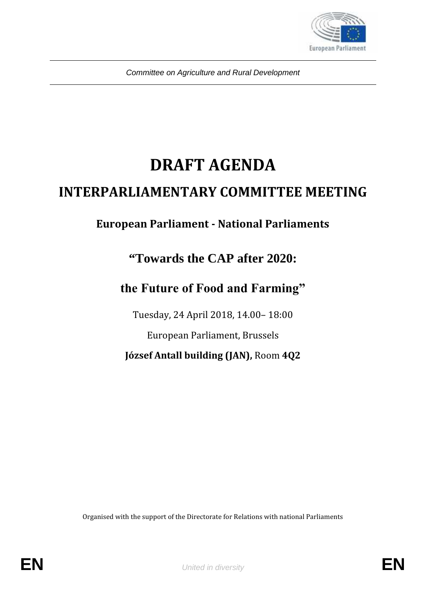

*Committee on Agriculture and Rural Development*

# **DRAFT AGENDA**

## **INTERPARLIAMENTARY COMMITTEE MEETING**

### **European Parliament - National Parliaments**

### **"Towards the CAP after 2020:**

### the Future of Food and Farming"

Tuesday, 24 April 2018, 14.00– 18:00

European Parliament, Brussels

**József Antall building (JAN),** Room **4Q2**

Organised with the support of the Directorate for Relations with national Parliaments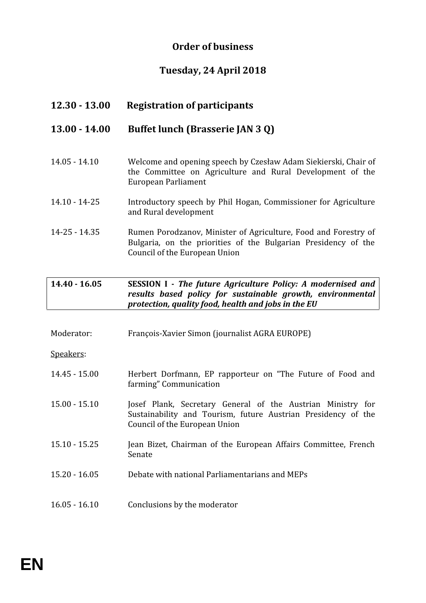#### **Order of business**

#### **Tuesday, 24 April 2018**

| $12.30 - 13.00$   | <b>Registration of participants</b>                                                                                                                                              |
|-------------------|----------------------------------------------------------------------------------------------------------------------------------------------------------------------------------|
| $13.00 - 14.00$   | Buffet lunch (Brasserie JAN 3 Q)                                                                                                                                                 |
| $14.05 - 14.10$   | Welcome and opening speech by Czesław Adam Siekierski, Chair of<br>the Committee on Agriculture and Rural Development of the<br>European Parliament                              |
| $14.10 - 14 - 25$ | Introductory speech by Phil Hogan, Commissioner for Agriculture<br>and Rural development                                                                                         |
| $14 - 25 - 14.35$ | Rumen Porodzanov, Minister of Agriculture, Food and Forestry of<br>Bulgaria, on the priorities of the Bulgarian Presidency of the<br>Council of the European Union               |
| $14.40 - 16.05$   | SESSION I - The future Agriculture Policy: A modernised and<br>results based policy for sustainable growth, environmental<br>protection, quality food, health and jobs in the EU |
| Moderator:        | François-Xavier Simon (journalist AGRA EUROPE)                                                                                                                                   |

Speakers:

| 14.45 - 15.00 | Herbert Dorfmann, EP rapporteur on "The Future of Food and |
|---------------|------------------------------------------------------------|
|               | farming" Communication                                     |
|               |                                                            |

- 15.00 15.10 Josef Plank, Secretary General of the Austrian Ministry for Sustainability and Tourism, future Austrian Presidency of the Council of the European Union
- 15.10 15.25 Jean Bizet, Chairman of the European Affairs Committee, French Senate
- 15.20 16.05 Debate with national Parliamentarians and MEPs
- 16.05 16.10 Conclusions by the moderator